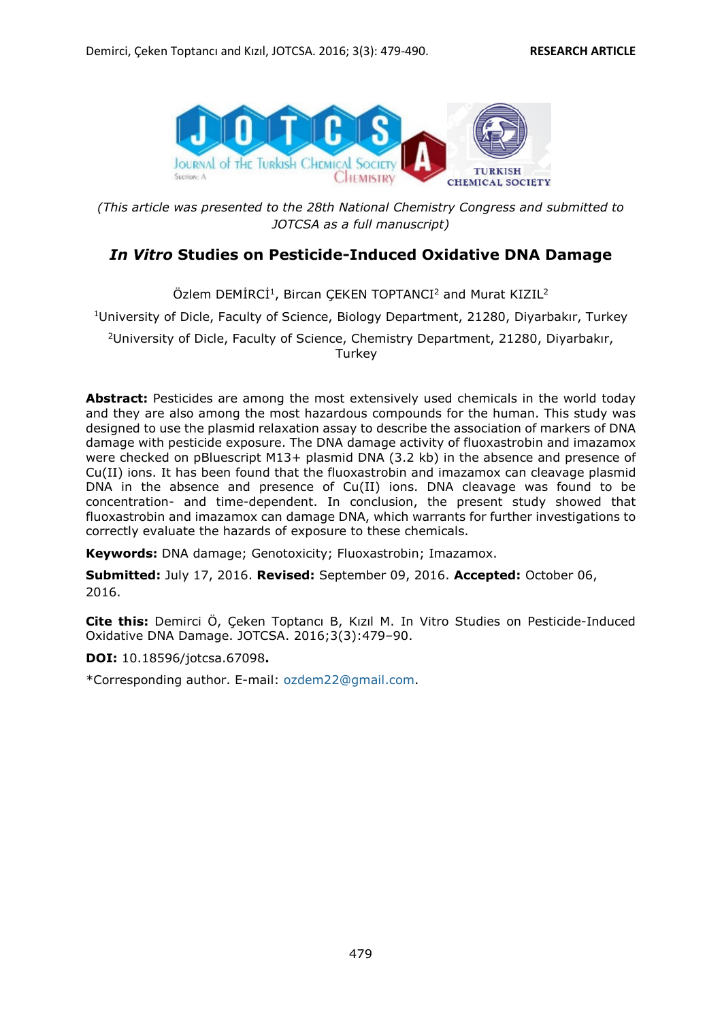

*(This article was presented to the 28th National Chemistry Congress and submitted to JOTCSA as a full manuscript)* 

# *In Vitro* **Studies on Pesticide-Induced Oxidative DNA Damage**

Özlem DEMİRCİ<sup>1</sup>, Bircan ÇEKEN TOPTANCI<sup>2</sup> and Murat KIZIL<sup>2</sup>

<sup>1</sup>University of Dicle, Faculty of Science, Biology Department, 21280, Diyarbakır, Turkey

<sup>2</sup>University of Dicle, Faculty of Science, Chemistry Department, 21280, Diyarbakır, **Turkey** 

**Abstract:** Pesticides are among the most extensively used chemicals in the world today and they are also among the most hazardous compounds for the human. This study was designed to use the plasmid relaxation assay to describe the association of markers of DNA damage with pesticide exposure. The DNA damage activity of fluoxastrobin and imazamox were checked on pBluescript M13+ plasmid DNA (3.2 kb) in the absence and presence of Cu(II) ions. It has been found that the fluoxastrobin and imazamox can cleavage plasmid DNA in the absence and presence of Cu(II) ions. DNA cleavage was found to be concentration- and time-dependent. In conclusion, the present study showed that fluoxastrobin and imazamox can damage DNA, which warrants for further investigations to correctly evaluate the hazards of exposure to these chemicals.

**Keywords:** DNA damage; Genotoxicity; Fluoxastrobin; Imazamox.

**Submitted:** July 17, 2016. **Revised:** September 09, 2016. **Accepted:** October 06, 2016.

**Cite this:** Demirci Ö, Çeken Toptancı B, Kızıl M. In Vitro Studies on Pesticide-Induced Oxidative DNA Damage. JOTCSA. 2016;3(3):479–90.

**DOI:** 10.18596/jotcsa.67098**.** 

\*Corresponding author. E-mail: ozdem22@gmail.com.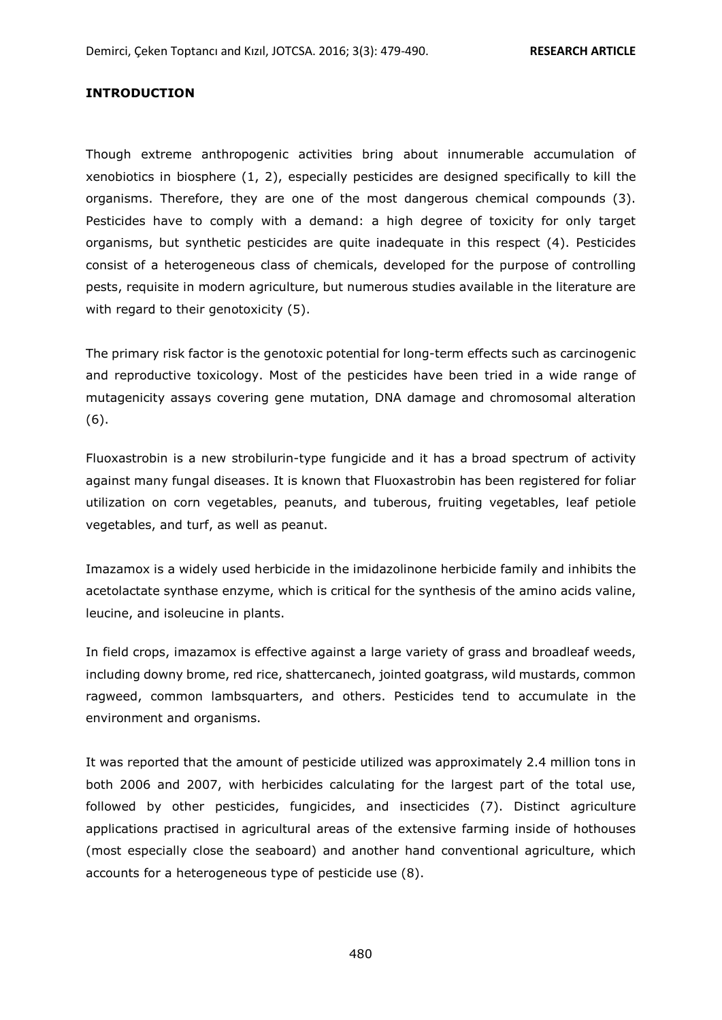#### **INTRODUCTION**

Though extreme anthropogenic activities bring about innumerable accumulation of xenobiotics in biosphere (1, 2), especially pesticides are designed specifically to kill the organisms. Therefore, they are one of the most dangerous chemical compounds (3). Pesticides have to comply with a demand: a high degree of toxicity for only target organisms, but synthetic pesticides are quite inadequate in this respect (4). Pesticides consist of a heterogeneous class of chemicals, developed for the purpose of controlling pests, requisite in modern agriculture, but numerous studies available in the literature are with regard to their genotoxicity (5).

The primary risk factor is the genotoxic potential for long-term effects such as carcinogenic and reproductive toxicology. Most of the pesticides have been tried in a wide range of mutagenicity assays covering gene mutation, DNA damage and chromosomal alteration (6).

Fluoxastrobin is a new strobilurin-type fungicide and it has a broad spectrum of activity against many fungal diseases. It is known that Fluoxastrobin has been registered for foliar utilization on corn vegetables, peanuts, and tuberous, fruiting vegetables, leaf petiole vegetables, and turf, as well as peanut.

Imazamox is a widely used herbicide in the imidazolinone herbicide family and inhibits the acetolactate synthase enzyme, which is critical for the synthesis of the amino acids valine, leucine, and isoleucine in plants.

In field crops, imazamox is effective against a large variety of grass and broadleaf weeds, including downy brome, red rice, shattercanech, jointed goatgrass, wild mustards, common ragweed, common lambsquarters, and others. Pesticides tend to accumulate in the environment and organisms.

It was reported that the amount of pesticide utilized was approximately 2.4 million tons in both 2006 and 2007, with herbicides calculating for the largest part of the total use, followed by other pesticides, fungicides, and insecticides (7). Distinct agriculture applications practised in agricultural areas of the extensive farming inside of hothouses (most especially close the seaboard) and another hand conventional agriculture, which accounts for a heterogeneous type of pesticide use (8).

480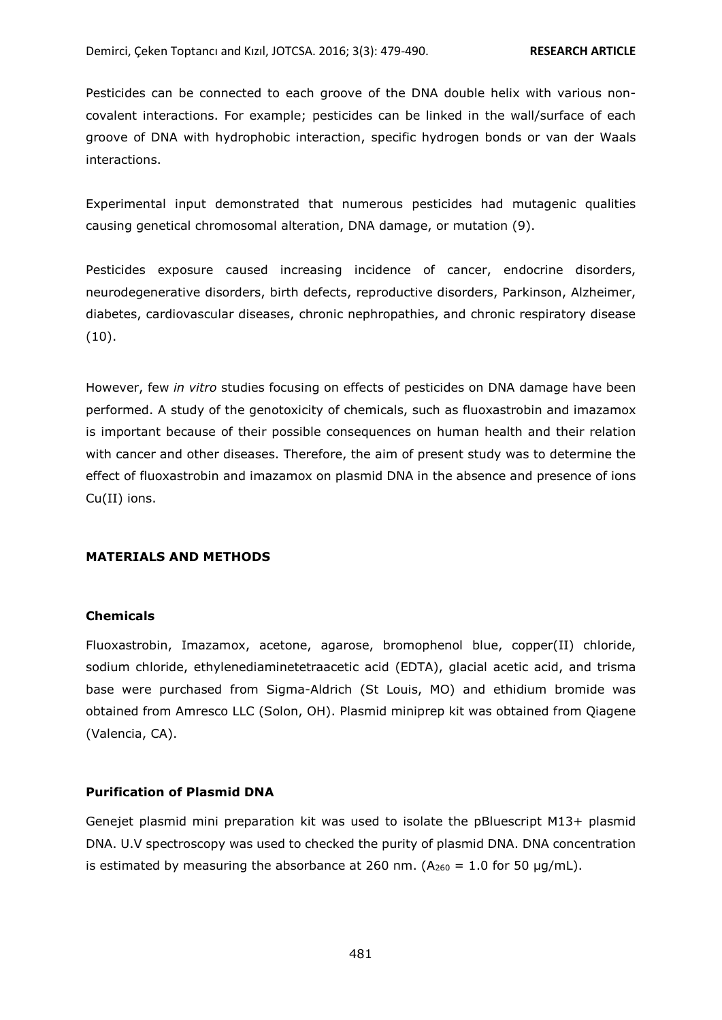Pesticides can be connected to each groove of the DNA double helix with various noncovalent interactions. For example; pesticides can be linked in the wall/surface of each groove of DNA with hydrophobic interaction, specific hydrogen bonds or van der Waals interactions.

Experimental input demonstrated that numerous pesticides had mutagenic qualities causing genetical chromosomal alteration, DNA damage, or mutation (9).

Pesticides exposure caused increasing incidence of cancer, endocrine disorders, neurodegenerative disorders, birth defects, reproductive disorders, Parkinson, Alzheimer, diabetes, cardiovascular diseases, chronic nephropathies, and chronic respiratory disease  $(10).$ 

However, few *in vitro* studies focusing on effects of pesticides on DNA damage have been performed. A study of the genotoxicity of chemicals, such as fluoxastrobin and imazamox is important because of their possible consequences on human health and their relation with cancer and other diseases. Therefore, the aim of present study was to determine the effect of fluoxastrobin and imazamox on plasmid DNA in the absence and presence of ions Cu(II) ions.

### **MATERIALS AND METHODS**

#### **Chemicals**

Fluoxastrobin, Imazamox, acetone, agarose, bromophenol blue, copper(II) chloride, sodium chloride, ethylenediaminetetraacetic acid (EDTA), glacial acetic acid, and trisma base were purchased from Sigma-Aldrich (St Louis, MO) and ethidium bromide was obtained from Amresco LLC (Solon, OH). Plasmid miniprep kit was obtained from Qiagene (Valencia, CA).

### **Purification of Plasmid DNA**

Genejet plasmid mini preparation kit was used to isolate the pBluescript M13+ plasmid DNA. U.V spectroscopy was used to checked the purity of plasmid DNA. DNA concentration is estimated by measuring the absorbance at 260 nm. ( $A_{260} = 1.0$  for 50  $\mu$ g/mL).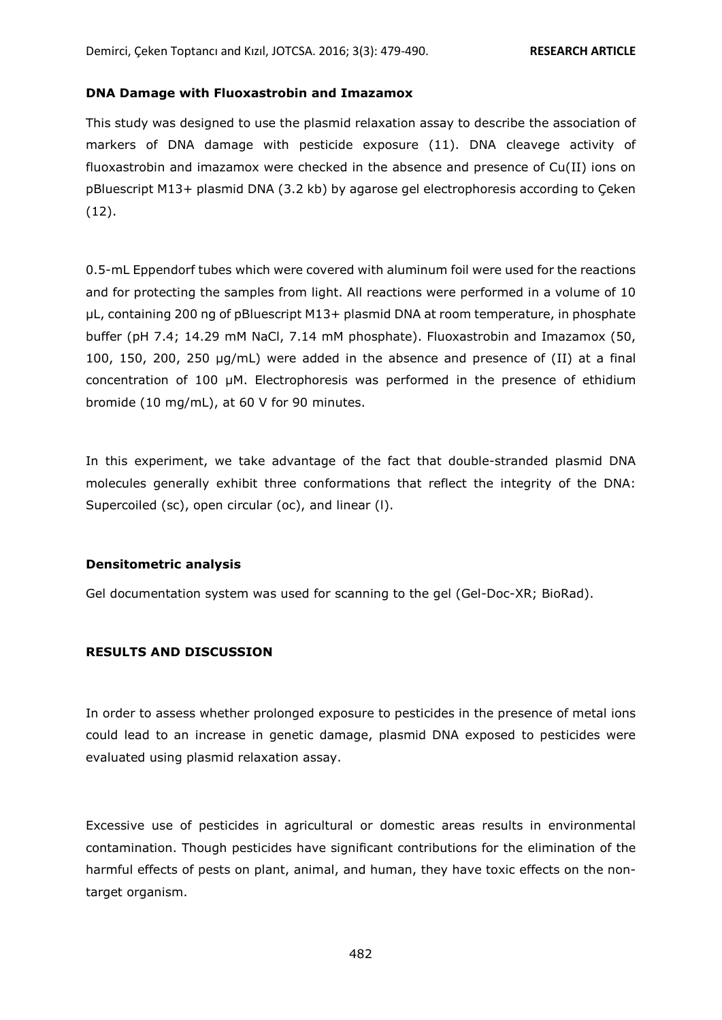#### **DNA Damage with Fluoxastrobin and Imazamox**

This study was designed to use the plasmid relaxation assay to describe the association of markers of DNA damage with pesticide exposure (11). DNA cleavege activity of fluoxastrobin and imazamox were checked in the absence and presence of Cu(II) ions on pBluescript M13+ plasmid DNA (3.2 kb) by agarose gel electrophoresis according to Çeken (12).

0.5-mL Eppendorf tubes which were covered with aluminum foil were used for the reactions and for protecting the samples from light. All reactions were performed in a volume of 10 µL, containing 200 ng of pBluescript M13+ plasmid DNA at room temperature, in phosphate buffer (pH 7.4; 14.29 mM NaCl, 7.14 mM phosphate). Fluoxastrobin and Imazamox (50, 100, 150, 200, 250 μg/mL) were added in the absence and presence of (II) at a final concentration of 100 µΜ. Electrophoresis was performed in the presence of ethidium bromide (10 mg/mL), at 60 V for 90 minutes.

In this experiment, we take advantage of the fact that double-stranded plasmid DNA molecules generally exhibit three conformations that reflect the integrity of the DNA: Supercoiled (sc), open circular (oc), and linear (l).

#### **Densitometric analysis**

Gel documentation system was used for scanning to the gel (Gel-Doc-XR; BioRad).

### **RESULTS AND DISCUSSION**

In order to assess whether prolonged exposure to pesticides in the presence of metal ions could lead to an increase in genetic damage, plasmid DNA exposed to pesticides were evaluated using plasmid relaxation assay.

Excessive use of pesticides in agricultural or domestic areas results in environmental contamination. Though pesticides have significant contributions for the elimination of the harmful effects of pests on plant, animal, and human, they have toxic effects on the nontarget organism.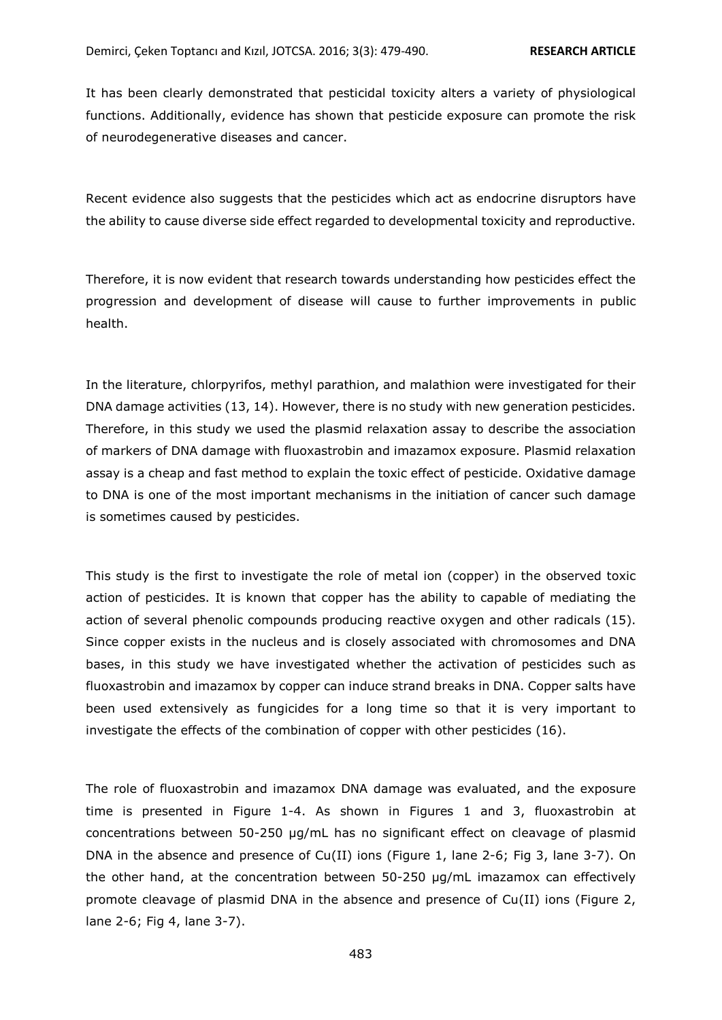It has been clearly demonstrated that pesticidal toxicity alters a variety of physiological functions. Additionally, evidence has shown that pesticide exposure can promote the risk of neurodegenerative diseases and cancer.

Recent evidence also suggests that the pesticides which act as endocrine disruptors have the ability to cause diverse side effect regarded to developmental toxicity and reproductive.

Therefore, it is now evident that research towards understanding how pesticides effect the progression and development of disease will cause to further improvements in public health.

In the literature, chlorpyrifos, methyl parathion, and malathion were investigated for their DNA damage activities (13, 14). However, there is no study with new generation pesticides. Therefore, in this study we used the plasmid relaxation assay to describe the association of markers of DNA damage with fluoxastrobin and imazamox exposure. Plasmid relaxation assay is a cheap and fast method to explain the toxic effect of pesticide. Oxidative damage to DNA is one of the most important mechanisms in the initiation of cancer such damage is sometimes caused by pesticides.

This study is the first to investigate the role of metal ion (copper) in the observed toxic action of pesticides. It is known that copper has the ability to capable of mediating the action of several phenolic compounds producing reactive oxygen and other radicals (15). Since copper exists in the nucleus and is closely associated with chromosomes and DNA bases, in this study we have investigated whether the activation of pesticides such as fluoxastrobin and imazamox by copper can induce strand breaks in DNA. Copper salts have been used extensively as fungicides for a long time so that it is very important to investigate the effects of the combination of copper with other pesticides (16).

The role of fluoxastrobin and imazamox DNA damage was evaluated, and the exposure time is presented in Figure 1-4. As shown in Figures 1 and 3, fluoxastrobin at concentrations between 50-250 µg/mL has no significant effect on cleavage of plasmid DNA in the absence and presence of Cu(II) ions (Figure 1, lane 2-6; Fig 3, lane 3-7). On the other hand, at the concentration between 50-250 µg/mL imazamox can effectively promote cleavage of plasmid DNA in the absence and presence of Cu(II) ions (Figure 2, lane 2-6; Fig 4, lane 3-7).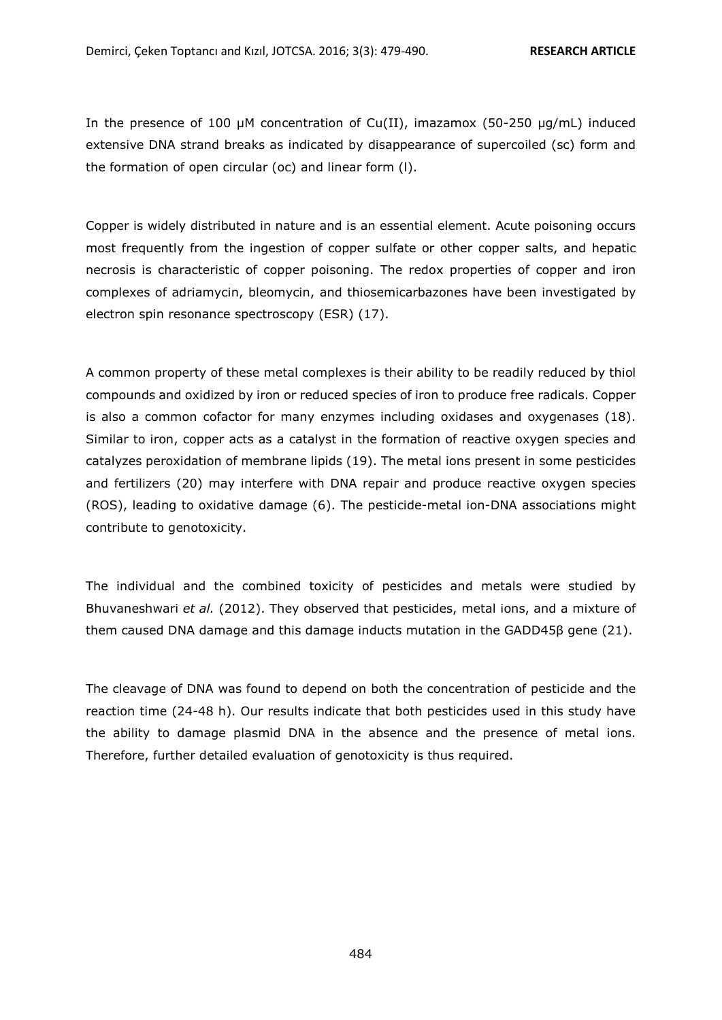In the presence of 100  $\mu$ M concentration of Cu(II), imazamox (50-250  $\mu$ g/mL) induced extensive DNA strand breaks as indicated by disappearance of supercoiled (sc) form and the formation of open circular (oc) and linear form (l).

Copper is widely distributed in nature and is an essential element. Acute poisoning occurs most frequently from the ingestion of copper sulfate or other copper salts, and hepatic necrosis is characteristic of copper poisoning. The redox properties of copper and iron complexes of adriamycin, bleomycin, and thiosemicarbazones have been investigated by electron spin resonance spectroscopy (ESR) (17).

A common property of these metal complexes is their ability to be readily reduced by thiol compounds and oxidized by iron or reduced species of iron to produce free radicals. Copper is also a common cofactor for many enzymes including oxidases and oxygenases (18). Similar to iron, copper acts as a catalyst in the formation of reactive oxygen species and catalyzes peroxidation of membrane lipids (19). The metal ions present in some pesticides and fertilizers (20) may interfere with DNA repair and produce reactive oxygen species (ROS), leading to oxidative damage (6). The pesticide-metal ion-DNA associations might contribute to genotoxicity.

The individual and the combined toxicity of pesticides and metals were studied by Bhuvaneshwari *et al.* (2012). They observed that pesticides, metal ions, and a mixture of them caused DNA damage and this damage inducts mutation in the GADD45β gene (21).

The cleavage of DNA was found to depend on both the concentration of pesticide and the reaction time (24-48 h). Our results indicate that both pesticides used in this study have the ability to damage plasmid DNA in the absence and the presence of metal ions. Therefore, further detailed evaluation of genotoxicity is thus required.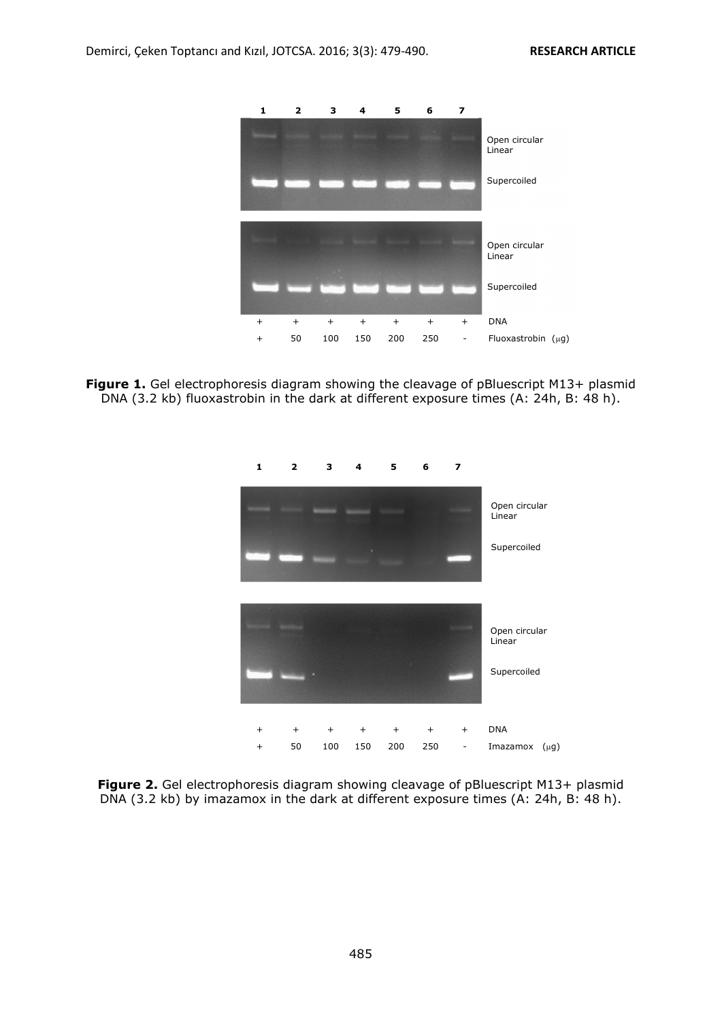

Figure 1. Gel electrophoresis diagram showing the cleavage of pBluescript M13+ plasmid DNA (3.2 kb) fluoxastrobin in the dark at different exposure times (A: 24h, B: 48 h).



**Figure 2.** Gel electrophoresis diagram showing cleavage of pBluescript M13+ plasmid DNA (3.2 kb) by imazamox in the dark at different exposure times (A: 24h, B: 48 h).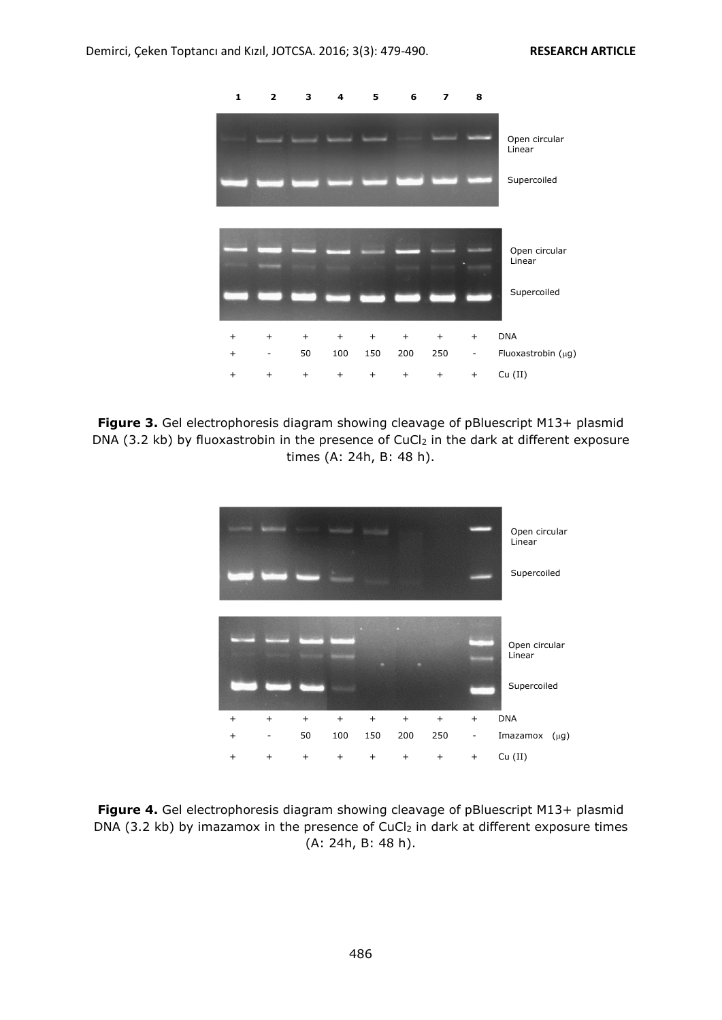

**Figure 3.** Gel electrophoresis diagram showing cleavage of pBluescript M13+ plasmid DNA (3.2 kb) by fluoxastrobin in the presence of CuCl<sub>2</sub> in the dark at different exposure times (A: 24h, B: 48 h).



**Figure 4.** Gel electrophoresis diagram showing cleavage of pBluescript M13+ plasmid DNA (3.2 kb) by imazamox in the presence of CuCl<sub>2</sub> in dark at different exposure times (A: 24h, B: 48 h).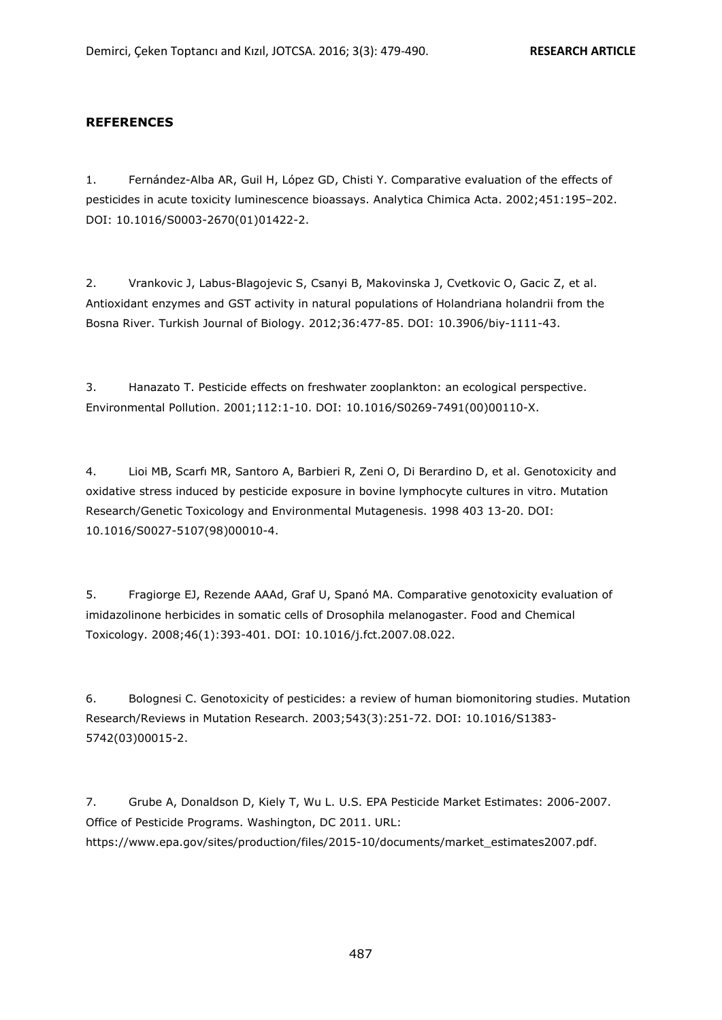#### **REFERENCES**

1. Fernández-Alba AR, Guil H, López GD, Chisti Y. Comparative evaluation of the effects of pesticides in acute toxicity luminescence bioassays. Analytica Chimica Acta. 2002;451:195–202. DOI: 10.1016/S0003-2670(01)01422-2.

2. Vrankovic J, Labus-Blagojevic S, Csanyi B, Makovinska J, Cvetkovic O, Gacic Z, et al. Antioxidant enzymes and GST activity in natural populations of Holandriana holandrii from the Bosna River. Turkish Journal of Biology. 2012;36:477-85. DOI: 10.3906/biy-1111-43.

3. Hanazato T. Pesticide effects on freshwater zooplankton: an ecological perspective. Environmental Pollution. 2001;112:1-10. DOI: 10.1016/S0269-7491(00)00110-X.

4. Lioi MB, Scarfı MR, Santoro A, Barbieri R, Zeni O, Di Berardino D, et al. Genotoxicity and oxidative stress induced by pesticide exposure in bovine lymphocyte cultures in vitro. Mutation Research/Genetic Toxicology and Environmental Mutagenesis. 1998 403 13-20. DOI: 10.1016/S0027-5107(98)00010-4.

5. Fragiorge EJ, Rezende AAAd, Graf U, Spanó MA. Comparative genotoxicity evaluation of imidazolinone herbicides in somatic cells of Drosophila melanogaster. Food and Chemical Toxicology. 2008;46(1):393-401. DOI: 10.1016/j.fct.2007.08.022.

6. Bolognesi C. Genotoxicity of pesticides: a review of human biomonitoring studies. Mutation Research/Reviews in Mutation Research. 2003;543(3):251-72. DOI: 10.1016/S1383- 5742(03)00015-2.

7. Grube A, Donaldson D, Kiely T, Wu L. U.S. EPA Pesticide Market Estimates: 2006-2007. Office of Pesticide Programs. Washington, DC 2011. URL: https://www.epa.gov/sites/production/files/2015-10/documents/market\_estimates2007.pdf.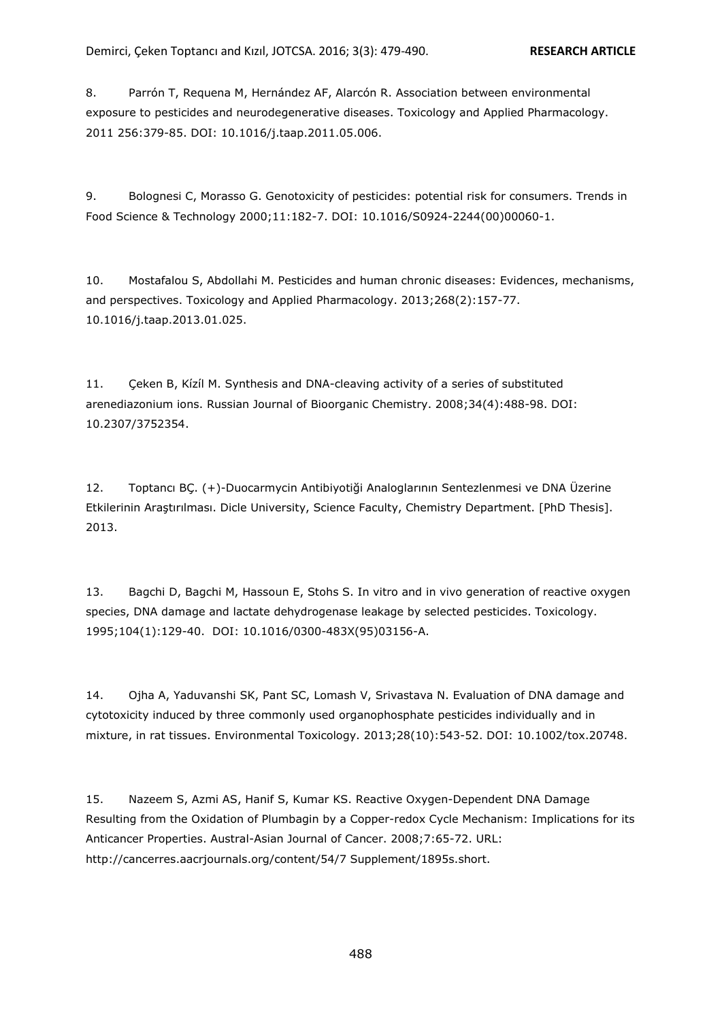8. Parrón T, Requena M, Hernández AF, Alarcón R. Association between environmental exposure to pesticides and neurodegenerative diseases. Toxicology and Applied Pharmacology. 2011 256:379-85. DOI: 10.1016/j.taap.2011.05.006.

9. Bolognesi C, Morasso G. Genotoxicity of pesticides: potential risk for consumers. Trends in Food Science & Technology 2000;11:182-7. DOI: 10.1016/S0924-2244(00)00060-1.

10. Mostafalou S, Abdollahi M. Pesticides and human chronic diseases: Evidences, mechanisms, and perspectives. Toxicology and Applied Pharmacology. 2013;268(2):157-77. 10.1016/j.taap.2013.01.025.

11. Çeken B, Kízíl M. Synthesis and DNA-cleaving activity of a series of substituted arenediazonium ions. Russian Journal of Bioorganic Chemistry. 2008;34(4):488-98. DOI: 10.2307/3752354.

12. Toptancı BÇ. (+)-Duocarmycin Antibiyotiği Analoglarının Sentezlenmesi ve DNA Üzerine Etkilerinin Araştırılması. Dicle University, Science Faculty, Chemistry Department. [PhD Thesis]. 2013.

13. Bagchi D, Bagchi M, Hassoun E, Stohs S. In vitro and in vivo generation of reactive oxygen species, DNA damage and lactate dehydrogenase leakage by selected pesticides. Toxicology. 1995;104(1):129-40. DOI: 10.1016/0300-483X(95)03156-A.

14. Ojha A, Yaduvanshi SK, Pant SC, Lomash V, Srivastava N. Evaluation of DNA damage and cytotoxicity induced by three commonly used organophosphate pesticides individually and in mixture, in rat tissues. Environmental Toxicology. 2013;28(10):543-52. DOI: 10.1002/tox.20748.

15. Nazeem S, Azmi AS, Hanif S, Kumar KS. Reactive Oxygen-Dependent DNA Damage Resulting from the Oxidation of Plumbagin by a Copper-redox Cycle Mechanism: Implications for its Anticancer Properties. Austral-Asian Journal of Cancer. 2008;7:65-72. URL: http://cancerres.aacrjournals.org/content/54/7 Supplement/1895s.short.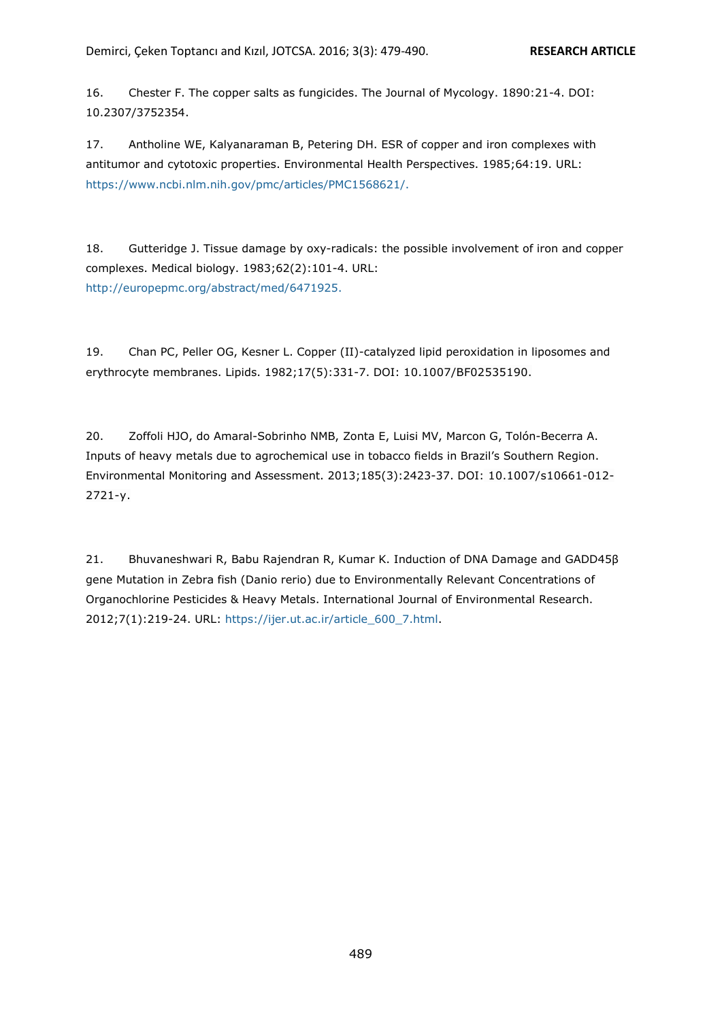16. Chester F. The copper salts as fungicides. The Journal of Mycology. 1890:21-4. DOI: 10.2307/3752354.

17. Antholine WE, Kalyanaraman B, Petering DH. ESR of copper and iron complexes with antitumor and cytotoxic properties. Environmental Health Perspectives. 1985;64:19. URL: https://www.ncbi.nlm.nih.gov/pmc/articles/PMC1568621/.

18. Gutteridge J. Tissue damage by oxy-radicals: the possible involvement of iron and copper complexes. Medical biology. 1983;62(2):101-4. URL: http://europepmc.org/abstract/med/6471925.

19. Chan PC, Peller OG, Kesner L. Copper (II)-catalyzed lipid peroxidation in liposomes and erythrocyte membranes. Lipids. 1982;17(5):331-7. DOI: 10.1007/BF02535190.

20. Zoffoli HJO, do Amaral-Sobrinho NMB, Zonta E, Luisi MV, Marcon G, Tolón-Becerra A. Inputs of heavy metals due to agrochemical use in tobacco fields in Brazil's Southern Region. Environmental Monitoring and Assessment. 2013;185(3):2423-37. DOI: 10.1007/s10661-012- 2721-y.

21. Bhuvaneshwari R, Babu Rajendran R, Kumar K. Induction of DNA Damage and GADD45β gene Mutation in Zebra fish (Danio rerio) due to Environmentally Relevant Concentrations of Organochlorine Pesticides & Heavy Metals. International Journal of Environmental Research. 2012;7(1):219-24. URL: https://ijer.ut.ac.ir/article\_600\_7.html.